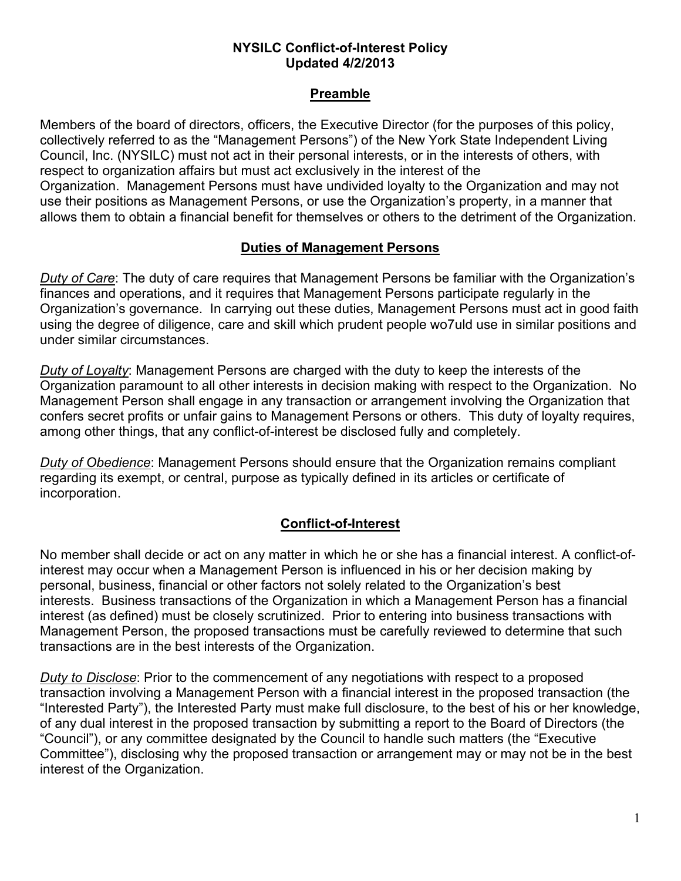#### **NYSILC Conflict-of-Interest Policy Updated 4/2/2013**

### **Preamble**

Members of the board of directors, officers, the Executive Director (for the purposes of this policy, collectively referred to as the "Management Persons") of the New York State Independent Living Council, Inc. (NYSILC) must not act in their personal interests, or in the interests of others, with respect to organization affairs but must act exclusively in the interest of the Organization. Management Persons must have undivided loyalty to the Organization and may not use their positions as Management Persons, or use the Organization's property, in a manner that allows them to obtain a financial benefit for themselves or others to the detriment of the Organization.

### **Duties of Management Persons**

*Duty of Care*: The duty of care requires that Management Persons be familiar with the Organization's finances and operations, and it requires that Management Persons participate regularly in the Organization's governance. In carrying out these duties, Management Persons must act in good faith using the degree of diligence, care and skill which prudent people wo7uld use in similar positions and under similar circumstances.

*Duty of Loyalty*: Management Persons are charged with the duty to keep the interests of the Organization paramount to all other interests in decision making with respect to the Organization. No Management Person shall engage in any transaction or arrangement involving the Organization that confers secret profits or unfair gains to Management Persons or others. This duty of loyalty requires, among other things, that any conflict-of-interest be disclosed fully and completely.

*Duty of Obedience*: Management Persons should ensure that the Organization remains compliant regarding its exempt, or central, purpose as typically defined in its articles or certificate of incorporation.

## **Conflict-of-Interest**

No member shall decide or act on any matter in which he or she has a financial interest. A conflict-ofinterest may occur when a Management Person is influenced in his or her decision making by personal, business, financial or other factors not solely related to the Organization's best interests. Business transactions of the Organization in which a Management Person has a financial interest (as defined) must be closely scrutinized. Prior to entering into business transactions with Management Person, the proposed transactions must be carefully reviewed to determine that such transactions are in the best interests of the Organization.

*Duty to Disclose*: Prior to the commencement of any negotiations with respect to a proposed transaction involving a Management Person with a financial interest in the proposed transaction (the "Interested Party"), the Interested Party must make full disclosure, to the best of his or her knowledge, of any dual interest in the proposed transaction by submitting a report to the Board of Directors (the "Council"), or any committee designated by the Council to handle such matters (the "Executive Committee"), disclosing why the proposed transaction or arrangement may or may not be in the best interest of the Organization.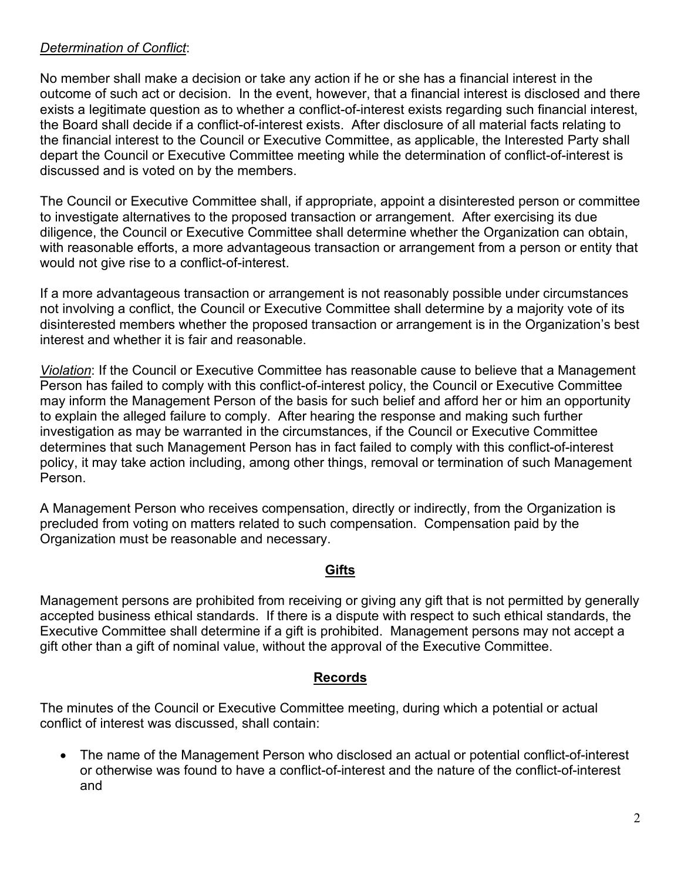## *Determination of Conflict*:

No member shall make a decision or take any action if he or she has a financial interest in the outcome of such act or decision. In the event, however, that a financial interest is disclosed and there exists a legitimate question as to whether a conflict-of-interest exists regarding such financial interest, the Board shall decide if a conflict-of-interest exists. After disclosure of all material facts relating to the financial interest to the Council or Executive Committee, as applicable, the Interested Party shall depart the Council or Executive Committee meeting while the determination of conflict-of-interest is discussed and is voted on by the members.

The Council or Executive Committee shall, if appropriate, appoint a disinterested person or committee to investigate alternatives to the proposed transaction or arrangement. After exercising its due diligence, the Council or Executive Committee shall determine whether the Organization can obtain, with reasonable efforts, a more advantageous transaction or arrangement from a person or entity that would not give rise to a conflict-of-interest.

If a more advantageous transaction or arrangement is not reasonably possible under circumstances not involving a conflict, the Council or Executive Committee shall determine by a majority vote of its disinterested members whether the proposed transaction or arrangement is in the Organization's best interest and whether it is fair and reasonable.

*Violation*: If the Council or Executive Committee has reasonable cause to believe that a Management Person has failed to comply with this conflict-of-interest policy, the Council or Executive Committee may inform the Management Person of the basis for such belief and afford her or him an opportunity to explain the alleged failure to comply. After hearing the response and making such further investigation as may be warranted in the circumstances, if the Council or Executive Committee determines that such Management Person has in fact failed to comply with this conflict-of-interest policy, it may take action including, among other things, removal or termination of such Management Person.

A Management Person who receives compensation, directly or indirectly, from the Organization is precluded from voting on matters related to such compensation. Compensation paid by the Organization must be reasonable and necessary.

## **Gifts**

Management persons are prohibited from receiving or giving any gift that is not permitted by generally accepted business ethical standards. If there is a dispute with respect to such ethical standards, the Executive Committee shall determine if a gift is prohibited. Management persons may not accept a gift other than a gift of nominal value, without the approval of the Executive Committee.

## **Records**

The minutes of the Council or Executive Committee meeting, during which a potential or actual conflict of interest was discussed, shall contain:

• The name of the Management Person who disclosed an actual or potential conflict-of-interest or otherwise was found to have a conflict-of-interest and the nature of the conflict-of-interest and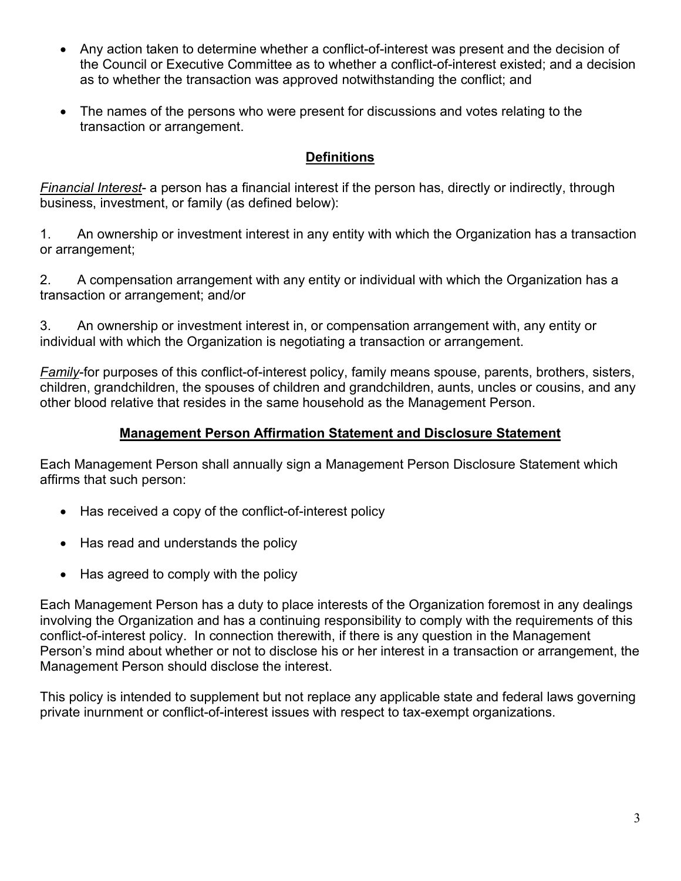- Any action taken to determine whether a conflict-of-interest was present and the decision of the Council or Executive Committee as to whether a conflict-of-interest existed; and a decision as to whether the transaction was approved notwithstanding the conflict; and
- The names of the persons who were present for discussions and votes relating to the transaction or arrangement.

# **Definitions**

*Financial Interest*- a person has a financial interest if the person has, directly or indirectly, through business, investment, or family (as defined below):

1. An ownership or investment interest in any entity with which the Organization has a transaction or arrangement;

2. A compensation arrangement with any entity or individual with which the Organization has a transaction or arrangement; and/or

3. An ownership or investment interest in, or compensation arrangement with, any entity or individual with which the Organization is negotiating a transaction or arrangement.

*Family*-for purposes of this conflict-of-interest policy, family means spouse, parents, brothers, sisters, children, grandchildren, the spouses of children and grandchildren, aunts, uncles or cousins, and any other blood relative that resides in the same household as the Management Person.

## **Management Person Affirmation Statement and Disclosure Statement**

Each Management Person shall annually sign a Management Person Disclosure Statement which affirms that such person:

- Has received a copy of the conflict-of-interest policy
- Has read and understands the policy
- Has agreed to comply with the policy

Each Management Person has a duty to place interests of the Organization foremost in any dealings involving the Organization and has a continuing responsibility to comply with the requirements of this conflict-of-interest policy. In connection therewith, if there is any question in the Management Person's mind about whether or not to disclose his or her interest in a transaction or arrangement, the Management Person should disclose the interest.

This policy is intended to supplement but not replace any applicable state and federal laws governing private inurnment or conflict-of-interest issues with respect to tax-exempt organizations.